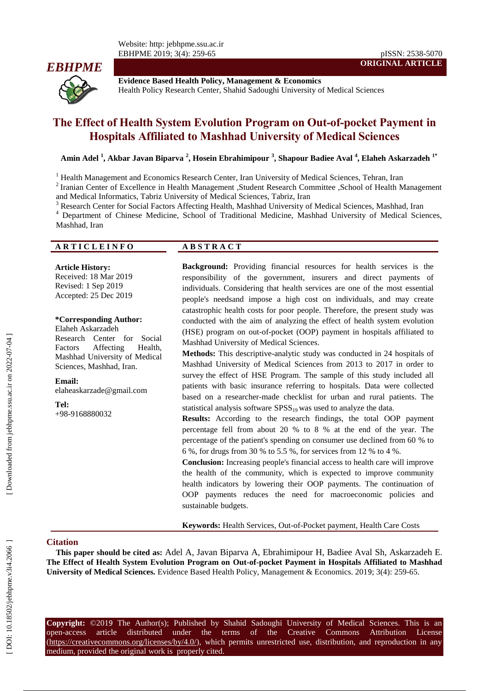

**Evidence Based Health Policy, Management & Economics** Health Policy Research Center, Shahid Sadoughi University of Medical Sciences

# **The Effect of Health System Evolution Program on Out [-of-pocket](https://onlinelibrary.wiley.com/doi/abs/10.1046/j.1365-3156.2003.01194.x) Payment in Hospitals Affiliated to Mashhad University of Medical Sciences**

**Amin Adel 1 , Akbar Javan Biparva 2 , Hosein Ebrahimipour 3 , Shapour Badiee Aval 4 , Elaheh Askarzadeh 1 \***

<sup>1</sup> Health Management and Economics Research Center, Iran University of Medical Sciences, Tehran, Iran

<sup>2</sup> Iranian Center of Excellence in Health Management ,Student Research Committee ,School of Health Management

and Medical Informatics, Tabriz University of Medical Sciences, Tabriz, Iran<br><sup>3</sup> Research Center for Social Factors Affecting Health, Mashhad University of Medical Sciences, Mashhad, Iran<br><sup>4</sup> Department of Chinese Medicine Mashhad, Iran

#### **A R T I C L E I N F O A B S T R A C T**

#### **Article History:**

Received: 18 Mar 201 9 Revised: 1 Sep 201 9 Accepted: 2 5 Dec 201 9

#### **\*Corresponding Author:**

Elahe h Askarzade h Research Center for Social Factors Affecting Health, Mashhad University of Medical Sciences, Mashhad, Iran .

**Email:** elaheaskarzade@gmail.com

**Tel:**

+98 -9168880032

**Background:** Providing financial resources for health services is the responsibility of the government, insurers and direct payments of individuals. Considering that health services are one of the most essential people's needsand impose a high cost on individuals, and may create catastrophic health costs for poor people. Therefore, the present study was conducted with the aim of analyzing the effect of health system evolution (HSE) program on out [-of-pocket \(OOP\)](https://onlinelibrary.wiley.com/doi/abs/10.1046/j.1365-3156.2003.01194.x) payment in hospitals affiliated to Mashhad University of Medical Sciences.

**ORIGINAL ARTICLE**

**Methods:** This descriptive -analytic study was conducted in 24 hospitals of Mashhad University of Medical Sciences from 2013 to 2017 in order to survey the effect of HSE Program. The sample of this study included all patients with basic insurance referring to hospitals. Data were collected based on a researcher -made checklist for urban and rural patients. The statistical analysis software  $SPSS_{19}$  was used to analyze the data.

**Results:** According to the research findings, the total [OOP](https://onlinelibrary.wiley.com/doi/abs/10.1046/j.1365-3156.2003.01194.x) payment percentage fell from about 20 % to 8 % at the end of the year. The percentage of the patient's spending on consumer use declined from 60 % to 6 %, for drugs from 30 % to 5.5 %, for services from 12 % to 4 %.

**Conclusion:** Increasing people's financial access to health care will improve the health of the community, which is expected to improve community health indicators by lowering their [OOP](https://onlinelibrary.wiley.com/doi/abs/10.1046/j.1365-3156.2003.01194.x) payments. The continuation of [OOP](https://onlinelibrary.wiley.com/doi/abs/10.1046/j.1365-3156.2003.01194.x) payments reduces the need for macroeconomic policies and sustainable budgets.

**Keywords:** Health Services, Out -of-Pocket payment, Health Care Costs

#### **Citation**

**This paper should be cited as:** Adel A, Javan Biparva A, Ebrahimipour H, Badiee Aval Sh, Askarzadeh E. **The Effect of Health System Evolution Program on Out [-of-pocket](https://onlinelibrary.wiley.com/doi/abs/10.1046/j.1365-3156.2003.01194.x) Payment in Hospitals Affiliated to Mashhad**  University of Medical Sciences. Evidence Based Health Policy, Management & Economics. 2019; 3(4): 259-65.

**Copyright:** ©201 9 The Author(s); Published by Shahid Sadoughi University of Medical Sciences. This is an open-access -access article distributed under the terms of the Creative Commons Attribution License (https://creativecommons.org/licenses/by/4.0/), which permits unrestricted use, distribution, and reproduction in any medium, provided the original work is properly cited.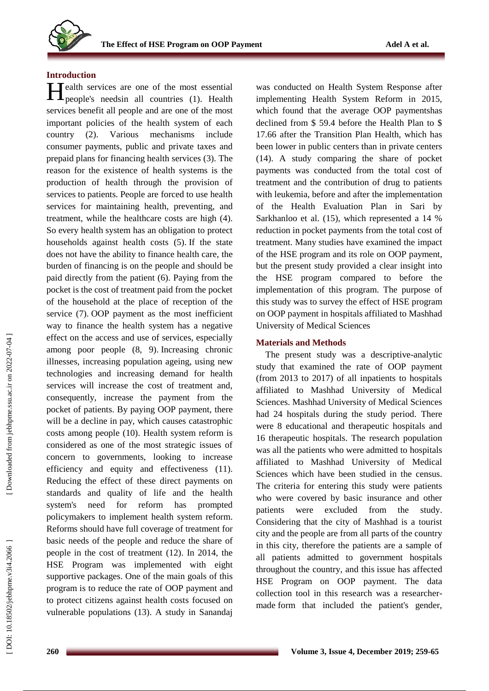

#### **Introduction**

Health services are one of the most essential<br>people's needsin all countries (1). Health people's needsin all countries ( 1 ) . Health services benefit all people and are one of the most important policies of the health system of each country ( 2 ). Various mechanisms include consumer payments, public and private taxes and prepaid plans for financing health services ( 3 ). The reason for the existence of health systems is the production of health through the provision of services to patients. People are forced to use health services for maintaining health, preventing, and treatment, while the healthcare costs are high ( 4 ). So every health system has an obligation to protect households against health costs ( 5 ) . If the state does not have the ability to finance health care, the burden of financing is on the people and should be paid directly from the patient ( 6 ). Paying from the pocket is the cost of treatment paid from the pocket of the household at the place of reception of the service (7). OOP payment as the most inefficient way to finance the health system has a negative effect on the access and use of services, especially among poor people ( 8, 9 ) . Increasing chronic illnesses, increasing population ageing, using new technologies and increasing demand for health services will increase the cost of treatment and, consequently, increase the payment from the pocket of patients. By paying OOP payment, there will be a decline in pay, which causes catastrophic costs among people (10 ). Health system reform is considered as one of the most strategic issues of concern to governments, looking to increase efficiency and equity and effectiveness (11 ). Reducing the effect of these direct payments on standards and quality of life and the health system's need for reform has prompted policymakers to implement health system reform . Reforms should have full coverage of treatment for basic needs of the people and reduce the share of people in the cost of treatment (12 ). In 2014, the HSE Program was implemented with eight supportive packages. One of the main goals of this program is to reduce the rate of [OOP](https://onlinelibrary.wiley.com/doi/abs/10.1046/j.1365-3156.2003.01194.x) payment and to protect citizens against health costs focused on vulnerable populations (13 ). A study in Sanandaj

was conducted on Health System Response after implementing Health System Reform in 2015, which found that the average [OOP](https://onlinelibrary.wiley.com/doi/abs/10.1046/j.1365-3156.2003.01194.x) paymentshas declined from \$ 59.4 before the Health Plan to \$ 17.66 after the Transition Plan Health, which has been lower in public centers than in private centers (14). A study comparing the share of pocket payments was conducted from the total cost of treatment and the contribution of drug to patients with leukemia, before and after the implementation of the Health Evaluation Plan in Sari by Sarkhanloo et al. (15 ), which represented a 14 % reduction in pocket payments from the total cost of treatment. Many studies have examined the impact of the HSE program and its role on [OOP](https://onlinelibrary.wiley.com/doi/abs/10.1046/j.1365-3156.2003.01194.x) payment, but the present study provided a clear insight into the HSE program compared to before the implementation of this program . The purpose of this study was to survey the effect of HSE program on [OOP](https://onlinelibrary.wiley.com/doi/abs/10.1046/j.1365-3156.2003.01194.x) payment in hospitals affiliated to Mashhad University of Medical Sciences

#### **Materials and Methods**

The present study was a descriptive -analytic study that examined the rate of OOP payment (from 2013 to 2017) of all inpatients to hospitals affiliated to Mashhad University of Medical Sciences. Mashhad University of Medical Sciences had 24 hospitals during the study period. There were 8 educational and therapeutic hospitals and 16 therapeutic hospitals. The research population was all the patients who were admitted to hospitals affiliated to Mashhad University of Medical Sciences which have been studied in the census. The criteria for entering this study were patients who were covered by basic insurance and other patients were excluded from the study. Considering that the city of Mashhad is a tourist city and the people are from all parts of the country in this city, therefore the patients are a sample of all patients admitted to government hospitals throughout the country , and this issue has affected HSE Program on OOP payment. The data collection tool in this research was a researcher made form that included the patient's gender,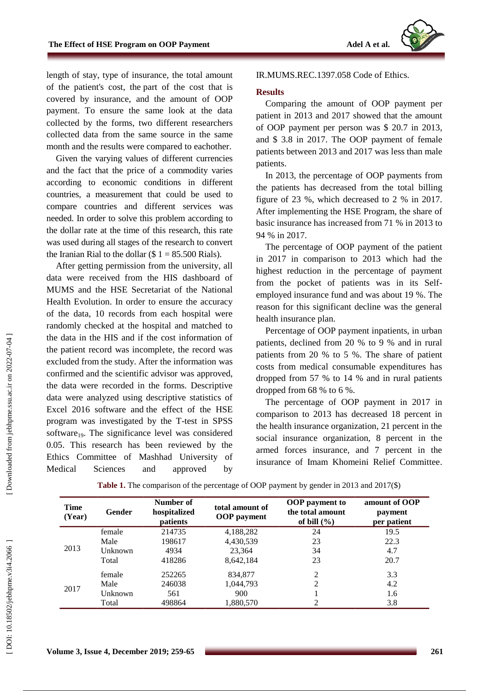length of stay, type of insurance, the total amount of the patient's cost, the part of the cost that is covered by insurance , and the amount of OOP payment. To ensure the same look at the data collected by the forms, two different researcher s collected data from the same source in the same month and the results were compared to eachother .

Given the varying values of different currencies and the fact that the price of a commodity varies according to economic conditions in different countries, a measurement that could be used to compare countries and different services was needed. In order to solve this problem according to the dollar rate at the time of this research, this rate was used during all stages of the research to convert the Iranian Rial to the dollar  $(\$ 1 = 85.500$  Rials).

After getting permission from the university, all data were received from the HIS dashboard of MUMS and the HSE Secretariat of the National Health Evolution. In order to ensure the accuracy of the data, 10 records from each hospital were randomly checked at the hospital and matched to the data in the HIS and if the cost information of the patient record was incomplete, the record was excluded from the study. After the information was confirmed and the scientific advisor was approved, the data were recorded in the forms. Descriptive data were analyzed using descriptive statistics of Excel 2016 software and the effect of the HSE program was investigated by the T -test in SPSS software<sub>19</sub>. The significance level was considered 0.05. This research has been reviewed by the Ethics Committee of Mashhad University of Medical Sciences and approved by

## IR.MUMS.REC.1397.058 Code of Ethics.

#### **Results**

Comparing the amount of OOP payment per patient in 2013 and 2017 showed that the amount of OOP payment per person was \$ 20.7 in 2013, and \$ 3.8 in 2017. The [OOP](https://onlinelibrary.wiley.com/doi/abs/10.1046/j.1365-3156.2003.01194.x) payment of female patients between 2013 and 2017 was less than male patients.

In 2013, the percentage of OOP payments from the patients has decreased from the total billing figure of 23 %, which decreased to 2 % in 2017. After implementing the HSE Program, the share of basic insurance has increased from 71 % in 2013 to 94 % in 2017.

The percentage of [OOP](https://onlinelibrary.wiley.com/doi/abs/10.1046/j.1365-3156.2003.01194.x) payment of the patient in 2017 in comparison to 2013 which had the highest reduction in the percentage of payment from the pocket of patients was in its Self employed insurance fund and was about 19 %. The reason for this significant decline was the general health insurance plan.

Percentage of [OOP](https://onlinelibrary.wiley.com/doi/abs/10.1046/j.1365-3156.2003.01194.x) payment inpatients, in urban patients, declined from 20 % to 9 % and in rural patients from 20 % to 5 %. The share of patient costs from medical consumable expenditures has dropped from 57 % to 14 % and in rural patients dropped from 68 % to 6 %.

The percentage of [OOP](https://onlinelibrary.wiley.com/doi/abs/10.1046/j.1365-3156.2003.01194.x) payment in 2017 in comparison to 2013 has decreased 18 percent in the health insurance organization, 21 percent in the social insurance organization, 8 percent in the armed forces insurance, and 7 percent in the insurance of Imam Khomeini Relief Committee .

| <b>Time</b><br>(Year) | <b>Gender</b> | Number of<br>hospitalized<br><i>patients</i> | total amount of<br><b>OOP</b> payment | <b>OOP</b> payment to<br>the total amount<br>of bill $(\% )$ | amount of OOP<br>payment<br>per patient |
|-----------------------|---------------|----------------------------------------------|---------------------------------------|--------------------------------------------------------------|-----------------------------------------|
|                       | female        | 214735                                       | 4,188,282                             | 24                                                           | 19.5                                    |
| 2013                  | Male          | 198617                                       | 4,430,539                             | 23                                                           | 22.3                                    |
|                       | Unknown       | 4934                                         | 23.364                                | 34                                                           | 4.7                                     |
|                       | Total         | 418286                                       | 8,642,184                             | 23                                                           | 20.7                                    |
| 2017                  | female        | 252265                                       | 834,877                               | 2                                                            | 3.3                                     |
|                       | Male          | 246038                                       | 1,044,793                             | 2                                                            | 4.2                                     |
|                       | Unknown       | 561                                          | 900                                   |                                                              | 1.6                                     |
|                       | Total         | 498864                                       | 1,880,570                             | 2                                                            | 3.8                                     |

**Table 1 .** The comparison of the percentage of OOP payment by gender in 2013 and 2017(\$)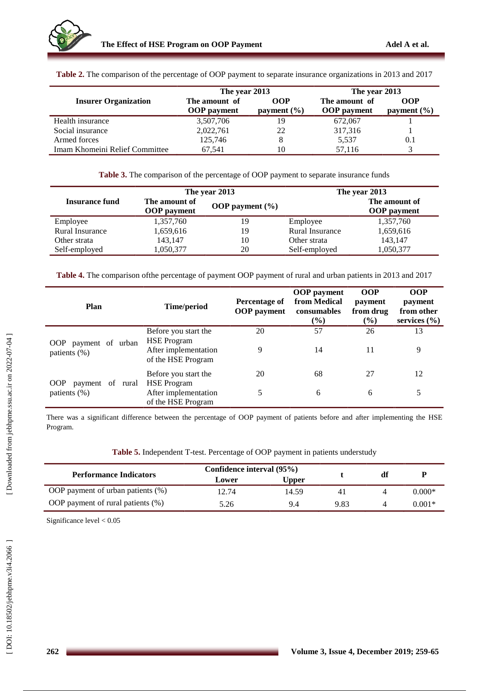|                                | The year 2013      |                 | The year 2013      |                 |  |
|--------------------------------|--------------------|-----------------|--------------------|-----------------|--|
| <b>Insurer Organization</b>    | The amount of      | OOP             | The amount of      | <b>OOP</b>      |  |
|                                | <b>OOP</b> payment | payment $(\% )$ | <b>OOP</b> payment | payment $(\% )$ |  |
| Health insurance               | 3,507,706          | 19              | 672,067            |                 |  |
| Social insurance               | 2,022,761          | 22              | 317,316            |                 |  |
| Armed forces                   | 125,746            | 8               | 5,537              | $0.1\,$         |  |
| Imam Khomeini Relief Committee | 67.541             | 10              | 57.116             |                 |  |

**Table 2 .** The comparison of the percentage of OOP payment to separate insurance organizations in 2013 and 2017

**Table 3 .** The comparison of the percentage of OOP payment to separate insurance funds

|                       |                                     | The year 2013       | The year 2013   |                                     |  |
|-----------------------|-------------------------------------|---------------------|-----------------|-------------------------------------|--|
| <b>Insurance fund</b> | The amount of<br><b>OOP</b> payment | OOP payment $(\% )$ |                 | The amount of<br><b>OOP</b> payment |  |
| Employee              | 1,357,760                           | 19                  | Employee        | 1,357,760                           |  |
| Rural Insurance       | 1,659,616                           | 19                  | Rural Insurance | 1,659,616                           |  |
| Other strata          | 143.147                             | 10                  | Other strata    | 143,147                             |  |
| Self-employed         | 1,050,377                           | 20                  | Self-employed   | 1,050,377                           |  |

**Table 4.** The comparison ofthe percentage of payment OOP payment of rural and urban patients in 2013 and 2017

| <b>Plan</b>                                       | Time/period                                                                              | Percentage of<br><b>OOP</b> payment | <b>OOP</b> payment<br>from Medical<br>consumables<br>$($ %) | <b>OOP</b><br>payment<br>from drug<br>(%) | <b>OOP</b><br>payment<br>from other<br>services $(\% )$ |
|---------------------------------------------------|------------------------------------------------------------------------------------------|-------------------------------------|-------------------------------------------------------------|-------------------------------------------|---------------------------------------------------------|
| payment of urban<br>OOP<br>patients $(\%)$        | Before you start the<br><b>HSE</b> Program<br>After implementation<br>of the HSE Program | 20<br>9                             | 57<br>14                                                    | 26<br>11                                  | 13<br>9                                                 |
| <b>OOP</b><br>payment of rural<br>patients $(\%)$ | Before you start the<br><b>HSE Program</b><br>After implementation<br>of the HSE Program | 20<br>5                             | 68<br>6                                                     | 27<br>6                                   | 12<br>5                                                 |

There was a significant difference between the percentage of OOP payment of patients before and after implementing the HSE Program .

| Table 5. Independent T-test. Percentage of OOP payment in patients understudy |  |  |
|-------------------------------------------------------------------------------|--|--|
|                                                                               |  |  |

|                                      | Confidence interval (95%) |       |      |    |          |
|--------------------------------------|---------------------------|-------|------|----|----------|
| <b>Performance Indicators</b>        | Lower                     | Upper |      | df |          |
| OOP payment of urban patients $(\%)$ | 12.74                     | 14.59 | 41   |    | $0.000*$ |
| OOP payment of rural patients (%)    | 5.26                      | 9.4   | 9.83 |    | $0.001*$ |

Significance level < 0.05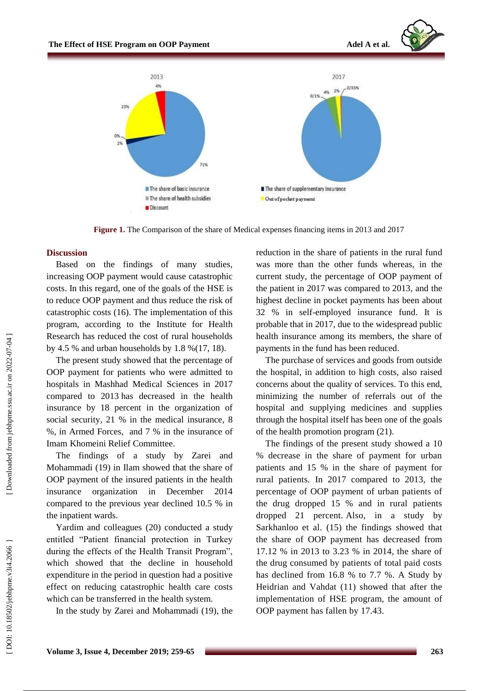



**Figure 1.** The Comparison of the share of Medical expenses financing items in 2013 and 2017

## **Discussion**

Based on the findings of many studies, increasing OOP payment would cause catastrophic costs. In this regard, one of the goals of the HSE is to reduce OOP payment and thus reduce the risk of catastrophic costs (16 ). The implementation of this program, according to the Institute for Health Research has reduced the cost of rural households by 4.5 % and urban households by 1.8 % $(17, 18)$ .

The present study showed that the percentage of OOP payment for patients who were admitted to hospitals in Mashhad Medical Sciences in 2017 compared to 2013 has decreased in the health insurance by 18 percent in the organization of social security, 21 % in the medical insurance, 8 %, in Armed Forces , and 7 % in the insurance of Imam Khomeini Relief Committee.

The findings of a study by Zarei and Mohammadi (19 ) in Ilam showed that the share of OOP payment of the insured patients in the health insurance organization in December 2014 compared to the previous year declined 10.5 % in the inpatient wards .

Yardim and colleagues (20 ) conducted a study entitled "Patient financial protection in Turkey during the effects of the Health Transit Program", which showed that the decline in household expenditure in the period in question had a positive effect on reducing catastrophic health care costs which can be transferred in the health system.

In the study by Zarei and Mohammadi (19 ), the

reduction in the share of patients in the rural fund was more than the other funds whereas , in the current study, the percentage of OOP payment of the patient in 2017 was compared to 2013, and the highest decline in pocket payments has been about 32 % in self-employed insurance fund. It is probable that in 2017, due to the widespread public health insurance among its members, the share of payments in the fund has been reduced.

The purchase of services and goods from outside the hospital, in addition to high costs, also raised concerns about the quality of services. To this end, minimizing the number of referrals out of the hospital and supplying medicines and supplies through the hospital itself has been one of the goals of the health promotion program (21 ) .

The findings of the present study showed a 10 % decrease in the share of payment for urban patients and 15 % in the share of payment for rural patients. In 2017 compared to 2013, the percentage of [OOP](https://onlinelibrary.wiley.com/doi/abs/10.1046/j.1365-3156.2003.01194.x) payment of urban patients of the drug dropped 15 % and in rural patients dropped 21 percent. Also, in a study by Sarkhanloo et al. (15 ) the findings showed that the share of [OOP](https://onlinelibrary.wiley.com/doi/abs/10.1046/j.1365-3156.2003.01194.x) payment has decreased from 17.12 % in 2013 to 3.23 % in 2014, the share of the drug consumed by patients of total paid costs has declined from 16.8 % to 7.7 %. A Study by Heidrian and Vahdat (11 ) showed that after the implementation of HSE program , the amount of [OOP](https://onlinelibrary.wiley.com/doi/abs/10.1046/j.1365-3156.2003.01194.x) payment has fallen by 17.43 .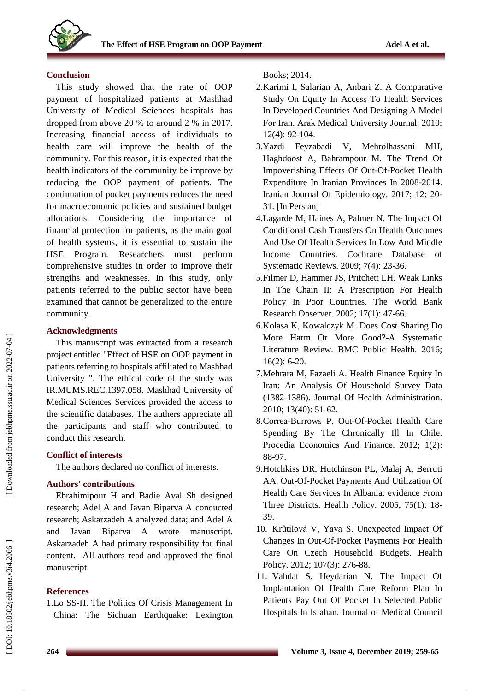

## **Conclusion**

This study showed that the rate of OOP payment of hospitalized patients at Mashhad University of Medical Sciences hospitals has dropped from above 20 % to around 2 % in 2017.<br>Increasing financial access of individuals to health care will improve the health of the community. For this reason, it is expected that the health indicators of the community be improve by reducing the OOP payment of patients. The continuation of pocket payments reduces the need for macroeconomic policies and sustained budget allocations. Considering the importance of financial protection for patients, as the main goal of health systems, it is essential to sustain the HSE Program. Researchers must perform comprehensive studies in order to improve their strengths and weaknesses. In this study, only patients referred to the public sector have been examined that cannot be generalized to the entire community.

# **Acknowledgments**

This manuscript was extracted from a research project entitled "Effect of HSE on OOP payment in patients referring to hospitals affiliated to Mashhad University ". The ethical code of the study was IR.MUMS.REC.1397.058. Mashhad University of Medical Sciences Services provided the access to the scientific databases. The authers appreciate all the participants and staff who contributed to conduct this research.

# **Conflict of interest s**

The authors declared no conflict of interest s .

# **Authors' contributions**

Ebrahimipour H and Badie Aval Sh designed research ; Adel A and Javan Biparva A conducted research ; Askarzadeh A analyzed data; and Adel A and Javan Biparva A wrote manuscript. Askarzadeh A had primary responsibility for final content . All authors read and approved the final manuscript.

# **References**

1.Lo SS-H. The Politics Of Crisis Management In China: The Sichuan Earthquake: Lexington Books; 2014.

- 2 .Karimi I, Salarian A, Anbari Z. A Comparative Study On Equity In Access To Health Services In Developed Countries And Designing A Model For Iran. Arak Medical University Journal. 2010; 12(4): 92 -104.
- 3 .Yazdi Feyzabadi V, Mehrolhassani M H, Haghdoost A, Bahrampour M. The Trend Of Impoverishing Effects Of Out -Of -Pocket Health Expenditure In Iranian Provinces In 2008 -2014. Iranian Journal Of Epidemiology. 2017; 12: 20 - 31. [In Persian]
- 4 .Lagarde M, Haines A, Palmer N. The Impact Of Conditional Cash Transfers On Health Outcomes And Use Of Health Services In Low And Middle Income Countries. Cochrane Database of Systematic Reviews. 2009; 7(4): 23 -36.
- 5 .Filmer D, Hammer JS, Pritchett LH. Weak Links In The Chain II: A Prescription For Health Policy In Poor Countries. The World Bank Research Observer. 2002; 17(1): 47 -66.
- 6 .Kolasa K, Kowalczyk M. Does Cost Sharing Do More Harm Or More Good? -A Systematic Literature Review. BMC Public Health. 2016; 16(2): 6 -20.
- 7 .Mehrara M, Fazaeli A. Health Finance Equity In Iran: An Analysis Of Household Survey Data (1382 -1386). Journal Of Health Administration. 2010; 13(40): 51 -62.
- 8 .Correa -Burrows P. Out -Of-Pocket Health Care Spending By The Chronically Ill In Chile. Procedia Economics And Finance. 2012; 1(2): 88 -97.
- 9 .Hotchkiss DR, Hutchinson PL, Malaj A, Berruti AA. Out -Of -Pocket Payments And Utilization Of Health Care Services In Albania: evidence From Three Districts. Health Policy. 2005; 75(1): 18 - 39.
- 10 . Krůtilová V, Yaya S. Unexpected Impact Of Changes In Out -Of -Pocket Payments For Health Care On Czech Household Budgets. Health Policy. 2012; 107(3): 276-88.
- 11 . Vahdat S, Heydarian N. The Impact Of Implantation Of Health Care Reform Plan In Patients Pay Out Of Pocket In Selected Public Hospitals In Isfahan. Journal of Medical Council